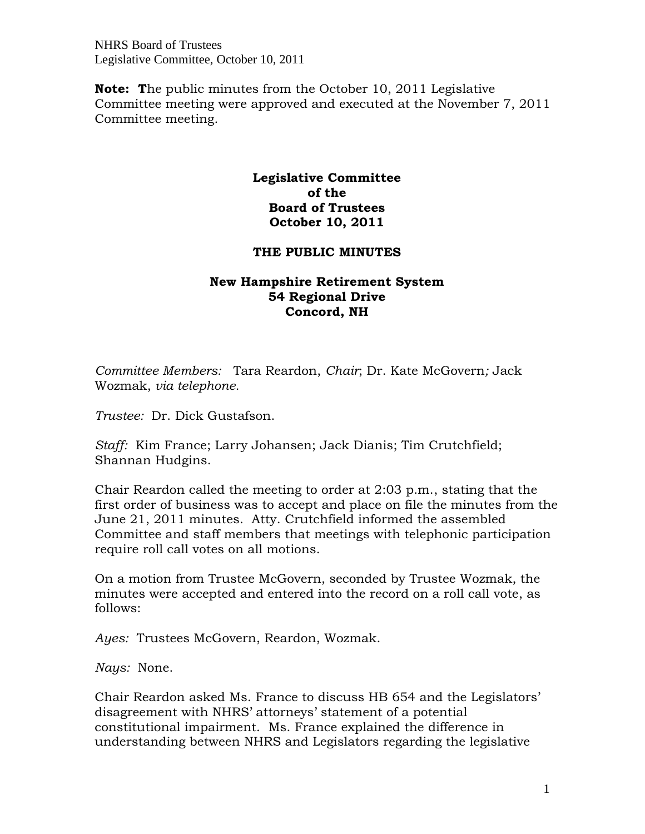NHRS Board of Trustees Legislative Committee, October 10, 2011

**Note: T**he public minutes from the October 10, 2011 Legislative Committee meeting were approved and executed at the November 7, 2011 Committee meeting.

## **Legislative Committee of the Board of Trustees October 10, 2011**

## **THE PUBLIC MINUTES**

## **New Hampshire Retirement System 54 Regional Drive Concord, NH**

*Committee Members:* Tara Reardon, *Chair*; Dr. Kate McGovern*;* Jack Wozmak, *via telephone.* 

*Trustee:* Dr. Dick Gustafson.

*Staff:* Kim France; Larry Johansen; Jack Dianis; Tim Crutchfield; Shannan Hudgins.

Chair Reardon called the meeting to order at 2:03 p.m., stating that the first order of business was to accept and place on file the minutes from the June 21, 2011 minutes. Atty. Crutchfield informed the assembled Committee and staff members that meetings with telephonic participation require roll call votes on all motions.

On a motion from Trustee McGovern, seconded by Trustee Wozmak, the minutes were accepted and entered into the record on a roll call vote, as follows:

*Ayes:* Trustees McGovern, Reardon, Wozmak.

*Nays:* None.

Chair Reardon asked Ms. France to discuss HB 654 and the Legislators' disagreement with NHRS' attorneys' statement of a potential constitutional impairment. Ms. France explained the difference in understanding between NHRS and Legislators regarding the legislative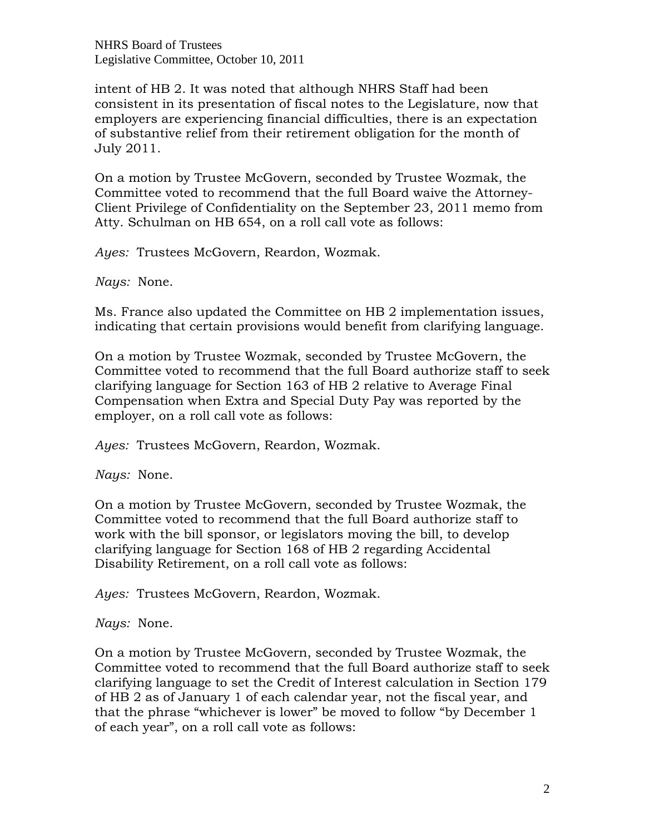NHRS Board of Trustees Legislative Committee, October 10, 2011

intent of HB 2. It was noted that although NHRS Staff had been consistent in its presentation of fiscal notes to the Legislature, now that employers are experiencing financial difficulties, there is an expectation of substantive relief from their retirement obligation for the month of July 2011.

On a motion by Trustee McGovern, seconded by Trustee Wozmak, the Committee voted to recommend that the full Board waive the Attorney-Client Privilege of Confidentiality on the September 23, 2011 memo from Atty. Schulman on HB 654, on a roll call vote as follows:

*Ayes:* Trustees McGovern, Reardon, Wozmak.

*Nays:* None.

Ms. France also updated the Committee on HB 2 implementation issues, indicating that certain provisions would benefit from clarifying language.

On a motion by Trustee Wozmak, seconded by Trustee McGovern, the Committee voted to recommend that the full Board authorize staff to seek clarifying language for Section 163 of HB 2 relative to Average Final Compensation when Extra and Special Duty Pay was reported by the employer, on a roll call vote as follows:

*Ayes:* Trustees McGovern, Reardon, Wozmak.

*Nays:* None.

On a motion by Trustee McGovern, seconded by Trustee Wozmak, the Committee voted to recommend that the full Board authorize staff to work with the bill sponsor, or legislators moving the bill, to develop clarifying language for Section 168 of HB 2 regarding Accidental Disability Retirement, on a roll call vote as follows:

*Ayes:* Trustees McGovern, Reardon, Wozmak.

*Nays:* None.

On a motion by Trustee McGovern, seconded by Trustee Wozmak, the Committee voted to recommend that the full Board authorize staff to seek clarifying language to set the Credit of Interest calculation in Section 179 of HB 2 as of January 1 of each calendar year, not the fiscal year, and that the phrase "whichever is lower" be moved to follow "by December 1 of each year", on a roll call vote as follows: